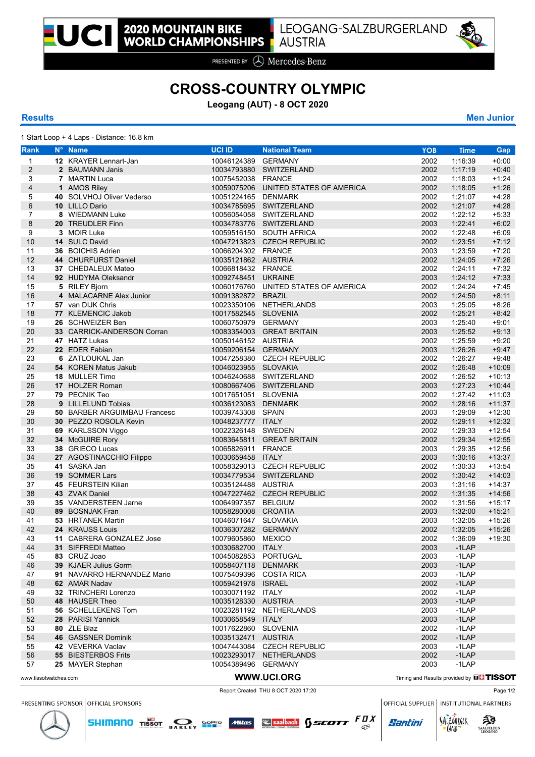

PRESENTED BY **A** Mercedes-Benz

## **CROSS-COUNTRY OLYMPIC**

**Leogang (AUT) - 8 OCT 2020**

1 Start Loop + 4 Laps - Distance: 16.8 km

| Rank                  | N° Name                      | <b>UCI ID</b>        | <b>National Team</b>                 | <b>YOB</b>                                    | <b>Time</b> | <b>Gap</b> |
|-----------------------|------------------------------|----------------------|--------------------------------------|-----------------------------------------------|-------------|------------|
| $\mathbf{1}$          | 12 KRAYER Lennart-Jan        | 10046124389 GERMANY  |                                      | 2002                                          | 1:16:39     | $+0:00$    |
| $\overline{2}$        | 2 BAUMANN Janis              |                      | 10034793880 SWITZERLAND              | 2002                                          | 1:17:19     | $+0.40$    |
| 3                     | 7 MARTIN Luca                | 10075452038 FRANCE   |                                      | 2002                                          | 1:18:03     | $+1:24$    |
| 4                     | 1 AMOS Riley                 |                      | 10059075206 UNITED STATES OF AMERICA | 2002                                          | 1:18:05     | $+1:26$    |
| 5                     | 40 SOLVHOJ Oliver Vederso    | 10051224165 DENMARK  |                                      | 2002                                          | 1:21:07     | $+4.28$    |
| 6                     | 10 LILLO Dario               |                      | 10034785695 SWITZERLAND              | 2002                                          | 1:21:07     | $+4:28$    |
| 7                     | 8 WIEDMANN Luke              |                      | 10056054058 SWITZERLAND              | 2002                                          | 1:22:12     | $+5:33$    |
| 8                     | 20 TREUDLER Finn             |                      | 10034783776 SWITZERLAND              | 2003                                          | 1:22:41     | $+6:02$    |
| 9                     | 3 MOIR Luke                  |                      | 10059516150 SOUTH AFRICA             | 2002                                          | 1:22:48     | $+6.09$    |
| 10                    | 14 SULC David                |                      | 10047213823 CZECH REPUBLIC           | 2002                                          | 1:23:51     | $+7:12$    |
| 11                    | 36 BOICHIS Adrien            | 10066204302 FRANCE   |                                      | 2003                                          | 1:23:59     | $+7:20$    |
| 12                    | 44 CHURFURST Daniel          | 10035121862 AUSTRIA  |                                      | 2002                                          | 1:24:05     | $+7:26$    |
| 13                    | 37 CHEDALEUX Mateo           | 10066818432 FRANCE   |                                      | 2002                                          | 1:24:11     | $+7:32$    |
| 14                    | 92 HUDYMA Oleksandr          | 10092748451 UKRAINE  |                                      | 2003                                          | 1:24:12     | $+7.33$    |
| 15                    | 5 RILEY Bjorn                |                      | 10060176760 UNITED STATES OF AMERICA | 2002                                          | 1:24:24     | $+7:45$    |
| 16                    | 4 MALACARNE Alex Junior      | 10091382872 BRAZIL   |                                      | 2002                                          | 1:24:50     | $+8.11$    |
| 17                    | 57 van DIJK Chris            |                      | 10023350106 NETHERLANDS              | 2003                                          | 1:25:05     | $+8:26$    |
| 18                    | 77 KLEMENCIC Jakob           | 10017582545 SLOVENIA |                                      | 2002                                          | 1:25:21     | $+8:42$    |
| 19                    | 26 SCHWEIZER Ben             | 10060750979 GERMANY  |                                      | 2003                                          | 1:25:40     | $+9.01$    |
| 20                    | 33 CARRICK-ANDERSON Corran   |                      | 10083354003 GREAT BRITAIN            | 2003                                          | 1:25:52     | $+9:13$    |
| 21                    | 47 HATZ Lukas                | 10050146152 AUSTRIA  |                                      | 2002                                          | 1:25:59     | $+9:20$    |
| 22                    | 22 EDER Fabian               | 10059206154 GERMANY  |                                      | 2003                                          | 1:26:26     | $+9.47$    |
| 23                    | 6 ZATLOUKAL Jan              |                      | 10047258380 CZECH REPUBLIC           | 2002                                          | 1:26:27     | $+9.48$    |
| 24                    | <b>54 KOREN Matus Jakub</b>  | 10046023955 SLOVAKIA |                                      | 2002                                          | 1:26:48     | $+10.09$   |
| 25                    | 18 MULLER Timo               |                      | 10046240688 SWITZERLAND              | 2002                                          | 1:26:52     | $+10:13$   |
| 26                    | 17 HOLZER Roman              |                      | 10080667406 SWITZERLAND              | 2003                                          | 1:27:23     | $+10:44$   |
| 27                    | 79 PECNIK Teo                | 10017651051 SLOVENIA |                                      | 2002                                          | 1:27:42     | $+11:03$   |
| 28                    | 9 LILLELUND Tobias           | 10036123083 DENMARK  |                                      | 2002                                          | 1:28:16     | $+11:37$   |
| 29                    | 50 BARBER ARGUIMBAU Francesc | 10039743308 SPAIN    |                                      | 2003                                          | 1:29:09     | $+12:30$   |
| 30                    | 30 PEZZO ROSOLA Kevin        | 10048237777 ITALY    |                                      | 2002                                          | 1:29:11     | $+12:32$   |
| 31                    | 69 KARLSSON Viggo            | 10022326148 SWEDEN   |                                      | 2002                                          | 1:29:33     | $+12:54$   |
| 32                    | 34 McGUIRE Rory              |                      | 10083645811 GREAT BRITAIN            | 2002                                          | 1:29:34     | $+12:55$   |
| 33                    | 38 GRIECO Lucas              | 10065826911 FRANCE   |                                      | 2003                                          | 1:29:35     | $+12:56$   |
| 34                    | 27 AGOSTINACCHIO Filippo     | 10030659458 ITALY    |                                      | 2003                                          | 1:30:16     | $+13.37$   |
| 35                    | 41 SASKA Jan                 |                      | 10058329013 CZECH REPUBLIC           | 2002                                          | 1:30:33     | $+13.54$   |
| 36                    | <b>19 SOMMER Lars</b>        |                      | 10034779534 SWITZERLAND              | 2002                                          | 1:30:42     | $+14.03$   |
| 37                    | 45 FEURSTEIN Kilian          | 10035124488 AUSTRIA  |                                      | 2003                                          | 1:31:16     | $+14.37$   |
| 38                    | 43 ZVAK Daniel               |                      | 10047227462 CZECH REPUBLIC           | 2002                                          | 1:31:35     | $+14.56$   |
| 39                    | 35 VANDERSTEEN Jarne         | 10064997357 BELGIUM  |                                      | 2002                                          | 1:31:56     | $+15:17$   |
| 40                    | 89 BOSNJAK Fran              | 10058280008 CROATIA  |                                      | 2003                                          | 1:32:00     | $+15.21$   |
| 41                    | 53 HRTANEK Martin            | 10046071647 SLOVAKIA |                                      | 2003                                          | 1:32:05     | $+15.26$   |
| 42                    | 24 KRAUSS Louis              | 10036307282 GERMANY  |                                      | 2002                                          | 1:32:05     | $+15.26$   |
| 43                    | 11 CABRERA GONZALEZ Jose     | 10079605860 MEXICO   |                                      | 2002                                          | 1:36:09     | $+19.30$   |
| 44                    | 31 SIFFREDI Matteo           | 10030682700 ITALY    |                                      | 2003                                          | $-1LAP$     |            |
| 45                    | 83 CRUZ Joao                 | 10045082853 PORTUGAL |                                      | 2003                                          | -1LAP       |            |
| 46                    | 39 KJAER Julius Gorm         | 10058407118 DENMARK  |                                      | 2003                                          | $-1$ LAP    |            |
| 47                    | 91 NAVARRO HERNANDEZ Mario   |                      | 10075409396 COSTA RICA               | 2003                                          | $-1$ LAP    |            |
| 48                    | 62 AMAR Nadav                | 10059421978 ISRAEL   |                                      | 2002                                          | $-1$ LAP    |            |
| 49                    | 32 TRINCHERI Lorenzo         | 10030071192 ITALY    |                                      | 2002                                          | $-1$ LAP    |            |
| 50                    | 48 HAUSER Theo               | 10035128330 AUSTRIA  |                                      | 2003                                          | $-1LAP$     |            |
| 51                    | 56 SCHELLEKENS Tom           |                      | 10023281192 NETHERLANDS              | 2003                                          | $-1$ LAP    |            |
| 52                    | 28 PARISI Yannick            | 10030658549 ITALY    |                                      | 2003                                          | $-1$ LAP    |            |
| 53                    | 80 ZLE Blaz                  | 10017622860 SLOVENIA |                                      | 2002                                          | $-1$ LAP    |            |
| 54                    | 46 GASSNER Dominik           | 10035132471 AUSTRIA  |                                      | 2002                                          | $-1LAP$     |            |
| 55                    | 42 VEVERKA Vaclav            |                      | 10047443084 CZECH REPUBLIC           | 2003                                          | $-1$ LAP    |            |
| 56                    | 55 BIESTERBOS Frits          |                      | 10023293017 NETHERLANDS              | 2002                                          | $-1LAP$     |            |
| 57                    | 25 MAYER Stephan             | 10054389496 GERMANY  |                                      | 2003                                          | $-1$ LAP    |            |
| www.tissotwatches.com |                              |                      | WWW.UCI.ORG                          | Timing and Results provided by <b>THISSOT</b> |             |            |
|                       |                              |                      |                                      |                                               |             |            |

Report Created THU 8 OCT 2020 17:20 Page 1/2

**SHIMANO** TISSOT **DAKLEY SPPP** Mitras **Separately** SSCOTT  $FQX$ 

PRESENTING SPONSOR OFFICIAL SPONSORS

OFFICIAL SUPPLIER | INSTITUTIONAL PARTNERS

Santini





**Results Men Junior**